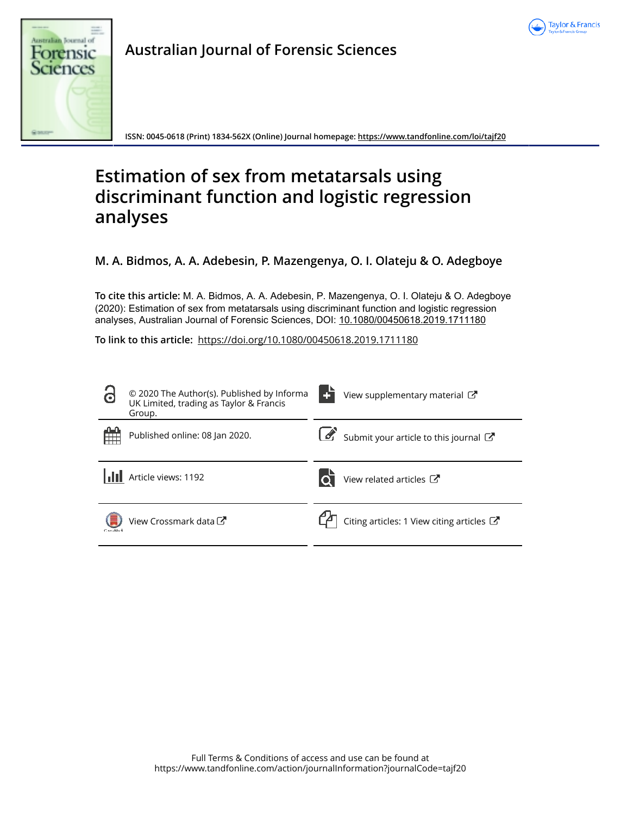



**Australian Journal of Forensic Sciences**

**ISSN: 0045-0618 (Print) 1834-562X (Online) Journal homepage: https://www.tandfonline.com/loi/tajf20**

# **Estimation of sex from metatarsals using discriminant function and logistic regression analyses**

**M. A. Bidmos, A. A. Adebesin, P. Mazengenya, O. I. Olateju & O. Adegboye**

**To cite this article:** M. A. Bidmos, A. A. Adebesin, P. Mazengenya, O. I. Olateju & O. Adegboye (2020): Estimation of sex from metatarsals using discriminant function and logistic regression analyses, Australian Journal of Forensic Sciences, DOI: 10.1080/00450618.2019.1711180

**To link to this article:** https://doi.org/10.1080/00450618.2019.1711180

| $\bullet$  | © 2020 The Author(s). Published by Informa<br>UK Limited, trading as Taylor & Francis<br>Group. | View supplementary material C                        |
|------------|-------------------------------------------------------------------------------------------------|------------------------------------------------------|
|            | Published online: 08 Jan 2020.                                                                  | Submit your article to this journal                  |
|            | Article views: 1192                                                                             | View related articles C                              |
| Carestdark | View Crossmark data                                                                             | Citing articles: 1 View citing articles $\mathbb{Z}$ |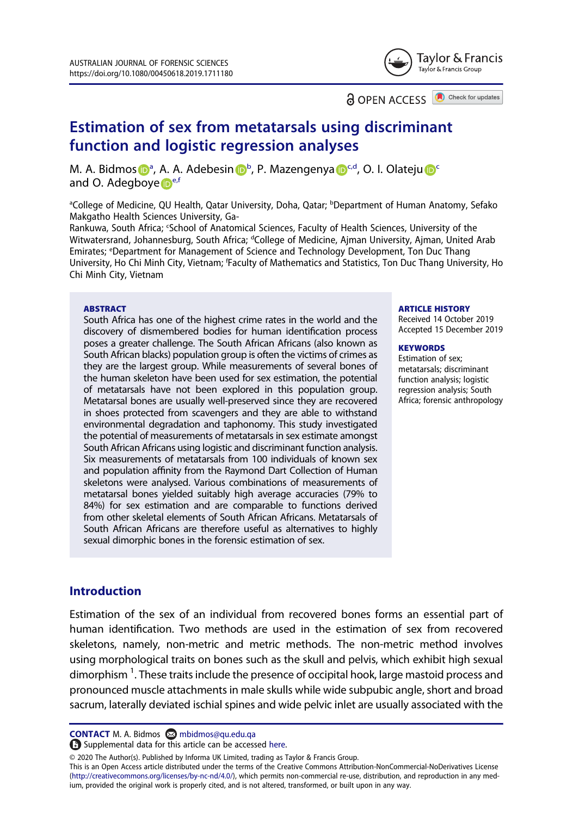

**a** OPEN ACCESS

Check for updates

# Estimation of sex from metatarsals using discriminant function and logistic regression analyses

M. A. Bidmos D<sup>a</sup>, A. A. Adebesin D<sup>b</sup>, P. Mazengenya D<sup>cd</sup>, O. I. Olateju D<sup>o</sup> and O. Adegboye  $\mathbf{P}^{\text{e,f}}$ 

aCollege of Medicine, QU Health, Qatar University, Doha, Qatar; <sup>b</sup>Department of Human Anatomy, Sefako Makgatho Health Sciences University, Ga-

Rankuwa, South Africa; 'School of Anatomical Sciences, Faculty of Health Sciences, University of the Witwatersrand, Johannesburg, South Africa; <sup>d</sup>College of Medicine, Ajman University, Ajman, United Arab Emirates; <sup>e</sup>Department for Management of Science and Technology Development, Ton Duc Thang University, Ho Chi Minh City, Vietnam; 'Faculty of Mathematics and Statistics, Ton Duc Thang University, Ho Chi Minh City, Vietnam

#### **ABSTRACT**

South Africa has one of the highest crime rates in the world and the discovery of dismembered bodies for human identification process poses a greater challenge. The South African Africans (also known as South African blacks) population group is often the victims of crimes as they are the largest group. While measurements of several bones of the human skeleton have been used for sex estimation, the potential of metatarsals have not been explored in this population group. Metatarsal bones are usually well-preserved since they are recovered in shoes protected from scavengers and they are able to withstand environmental degradation and taphonomy. This study investigated the potential of measurements of metatarsals in sex estimate amongst South African Africans using logistic and discriminant function analysis. Six measurements of metatarsals from 100 individuals of known sex and population affinity from the Raymond Dart Collection of Human skeletons were analysed. Various combinations of measurements of metatarsal bones yielded suitably high average accuracies (79% to 84%) for sex estimation and are comparable to functions derived from other skeletal elements of South African Africans. Metatarsals of South African Africans are therefore useful as alternatives to highly sexual dimorphic bones in the forensic estimation of sex.

#### ARTICLE HISTORY

Received 14 October 2019 Accepted 15 December 2019

#### **KEYWORDS**

Estimation of sex; metatarsals; discriminant function analysis; logistic regression analysis; South Africa; forensic anthropology

# **Introduction**

Estimation of the sex of an individual from recovered bones forms an essential part of human identification. Two methods are used in the estimation of sex from recovered skeletons, namely, non-metric and metric methods. The non-metric method involves using morphological traits on bones such as the skull and pelvis, which exhibit high sexual dimorphism <sup>1</sup>. These traits include the presence of occipital hook, large mastoid process and pronounced muscle attachments in male skulls while wide subpubic angle, short and broad sacrum, laterally deviated ischial spines and wide pelvic inlet are usually associated with the

CONTACT M. A. Bidmos <sup>2</sup> mbidmos@qu.edu.qa

Supplemental data for this article can be accessed here.

© 2020 The Author(s). Published by Informa UK Limited, trading as Taylor & Francis Group.

This is an Open Access article distributed under the terms of the Creative Commons Attribution-NonCommercial-NoDerivatives License (http://creativecommons.org/licenses/by-nc-nd/4.0/), which permits non-commercial re-use, distribution, and reproduction in any medium, provided the original work is properly cited, and is not altered, transformed, or built upon in any way.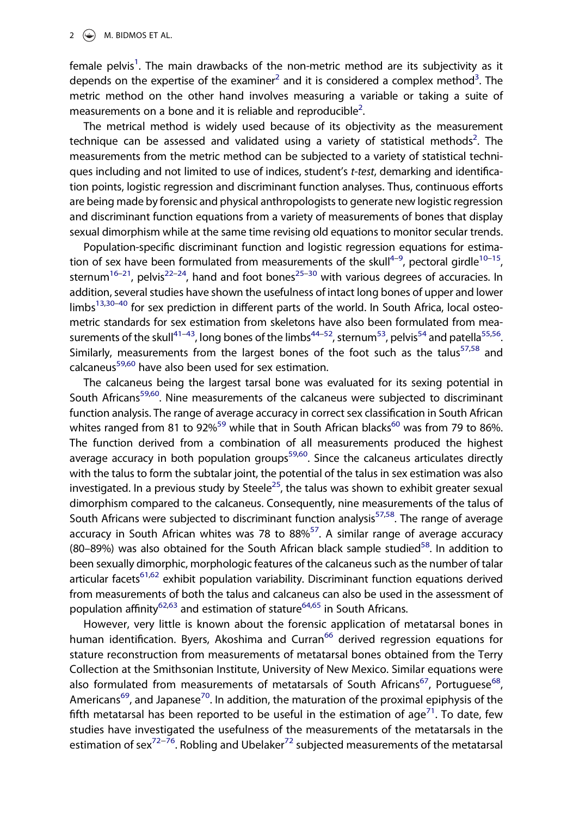female pelvis<sup>1</sup>. The main drawbacks of the non-metric method are its subjectivity as it depends on the expertise of the examiner<sup>2</sup> and it is considered a complex method<sup>3</sup>. The metric method on the other hand involves measuring a variable or taking a suite of measurements on a bone and it is reliable and reproducible<sup>2</sup>.

The metrical method is widely used because of its objectivity as the measurement technique can be assessed and validated using a variety of statistical methods<sup>2</sup>. The measurements from the metric method can be subjected to a variety of statistical techniques including and not limited to use of indices, student's t-test, demarking and identification points, logistic regression and discriminant function analyses. Thus, continuous efforts are being made by forensic and physical anthropologists to generate new logistic regression and discriminant function equations from a variety of measurements of bones that display sexual dimorphism while at the same time revising old equations to monitor secular trends.

Population-specific discriminant function and logistic regression equations for estimation of sex have been formulated from measurements of the skull<sup>4-9</sup>, pectoral girdle<sup>10-15</sup>, sternum<sup>16–21</sup>, pelvis<sup>22–24</sup>, hand and foot bones<sup>25–30</sup> with various degrees of accuracies. In addition, several studies have shown the usefulness of intact long bones of upper and lower limbs<sup>13,30–40</sup> for sex prediction in different parts of the world. In South Africa, local osteometric standards for sex estimation from skeletons have also been formulated from measurements of the skull<sup>41–43</sup>, long bones of the limbs<sup>44–52</sup>, sternum<sup>53</sup>, pelvis<sup>54</sup> and patella<sup>55,56</sup>. Similarly, measurements from the largest bones of the foot such as the talus<sup>57,58</sup> and calcaneus<sup>59,60</sup> have also been used for sex estimation.

The calcaneus being the largest tarsal bone was evaluated for its sexing potential in South Africans<sup>59,60</sup>. Nine measurements of the calcaneus were subjected to discriminant function analysis. The range of average accuracy in correct sex classification in South African whites ranged from 81 to 92%<sup>59</sup> while that in South African blacks<sup>60</sup> was from 79 to 86%. The function derived from a combination of all measurements produced the highest average accuracy in both population groups<sup>59,60</sup>. Since the calcaneus articulates directly with the talus to form the subtalar joint, the potential of the talus in sex estimation was also investigated. In a previous study by Steele<sup>25</sup>, the talus was shown to exhibit greater sexual dimorphism compared to the calcaneus. Consequently, nine measurements of the talus of South Africans were subjected to discriminant function analysis<sup>57,58</sup>. The range of average accuracy in South African whites was 78 to  $88\%^{57}$ . A similar range of average accuracy (80–89%) was also obtained for the South African black sample studied $58$ . In addition to been sexually dimorphic, morphologic features of the calcaneus such as the number of talar articular facets<sup>61,62</sup> exhibit population variability. Discriminant function equations derived from measurements of both the talus and calcaneus can also be used in the assessment of population affinity<sup>62,63</sup> and estimation of stature<sup>64,65</sup> in South Africans.

However, very little is known about the forensic application of metatarsal bones in human identification. Byers, Akoshima and Curran<sup>66</sup> derived regression equations for stature reconstruction from measurements of metatarsal bones obtained from the Terry Collection at the Smithsonian Institute, University of New Mexico. Similar equations were also formulated from measurements of metatarsals of South Africans<sup>67</sup>, Portuguese<sup>68</sup>, Americans<sup>69</sup>, and Japanese<sup>70</sup>. In addition, the maturation of the proximal epiphysis of the fifth metatarsal has been reported to be useful in the estimation of age<sup>71</sup>. To date, few studies have investigated the usefulness of the measurements of the metatarsals in the estimation of sex<sup>72−76</sup>. Robling and Ubelaker<sup>72</sup> subjected measurements of the metatarsal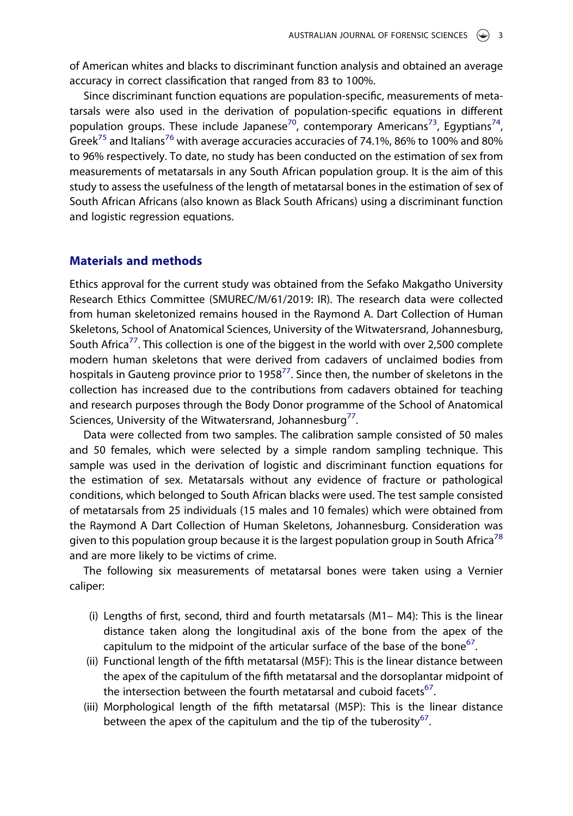of American whites and blacks to discriminant function analysis and obtained an average accuracy in correct classification that ranged from 83 to 100%.

Since discriminant function equations are population-specific, measurements of metatarsals were also used in the derivation of population-specific equations in different population groups. These include Japanese<sup>70</sup>, contemporary Americans<sup>73</sup>, Egyptians<sup>74</sup>, Greek<sup>75</sup> and Italians<sup>76</sup> with average accuracies accuracies of 74.1%, 86% to 100% and 80% to 96% respectively. To date, no study has been conducted on the estimation of sex from measurements of metatarsals in any South African population group. It is the aim of this study to assess the usefulness of the length of metatarsal bones in the estimation of sex of South African Africans (also known as Black South Africans) using a discriminant function and logistic regression equations.

### Materials and methods

Ethics approval for the current study was obtained from the Sefako Makgatho University Research Ethics Committee (SMUREC/M/61/2019: IR). The research data were collected from human skeletonized remains housed in the Raymond A. Dart Collection of Human Skeletons, School of Anatomical Sciences, University of the Witwatersrand, Johannesburg, South Africa<sup>77</sup>. This collection is one of the biggest in the world with over 2,500 complete modern human skeletons that were derived from cadavers of unclaimed bodies from hospitals in Gauteng province prior to 1958<sup>77</sup>. Since then, the number of skeletons in the collection has increased due to the contributions from cadavers obtained for teaching and research purposes through the Body Donor programme of the School of Anatomical Sciences, University of the Witwatersrand, Johannesburg<sup>77</sup>.

Data were collected from two samples. The calibration sample consisted of 50 males and 50 females, which were selected by a simple random sampling technique. This sample was used in the derivation of logistic and discriminant function equations for the estimation of sex. Metatarsals without any evidence of fracture or pathological conditions, which belonged to South African blacks were used. The test sample consisted of metatarsals from 25 individuals (15 males and 10 females) which were obtained from the Raymond A Dart Collection of Human Skeletons, Johannesburg. Consideration was given to this population group because it is the largest population group in South Africa<sup>78</sup> and are more likely to be victims of crime.

The following six measurements of metatarsal bones were taken using a Vernier caliper:

- (i) Lengths of first, second, third and fourth metatarsals (M1– M4): This is the linear distance taken along the longitudinal axis of the bone from the apex of the capitulum to the midpoint of the articular surface of the base of the bone $^{67}$ .
- (ii) Functional length of the fifth metatarsal (M5F): This is the linear distance between the apex of the capitulum of the fifth metatarsal and the dorsoplantar midpoint of the intersection between the fourth metatarsal and cuboid facets<sup>67</sup>.
- (iii) Morphological length of the fifth metatarsal (M5P): This is the linear distance between the apex of the capitulum and the tip of the tuberosity<sup>67</sup>.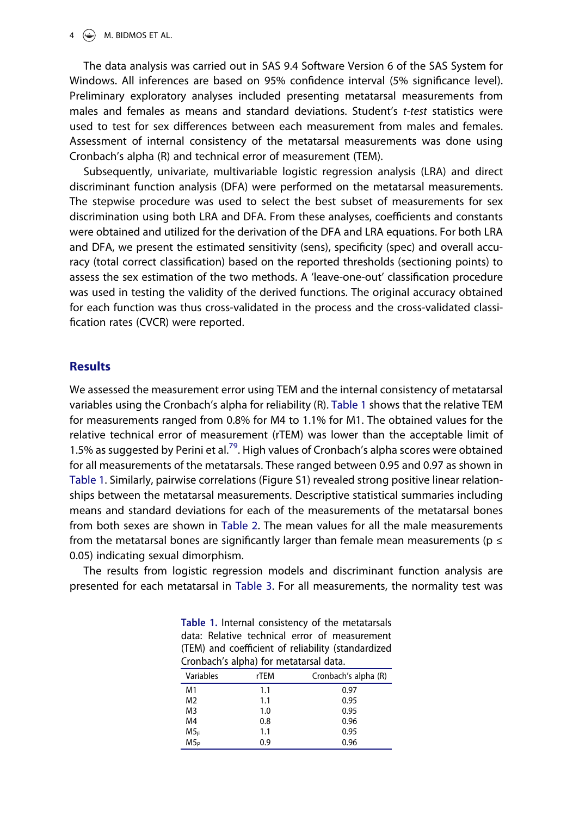#### $4 \quad \circledast$  M. BIDMOS ET AL.

The data analysis was carried out in SAS 9.4 Software Version 6 of the SAS System for Windows. All inferences are based on 95% confidence interval (5% significance level). Preliminary exploratory analyses included presenting metatarsal measurements from males and females as means and standard deviations. Student's t-test statistics were used to test for sex differences between each measurement from males and females. Assessment of internal consistency of the metatarsal measurements was done using Cronbach's alpha (R) and technical error of measurement (TEM).

Subsequently, univariate, multivariable logistic regression analysis (LRA) and direct discriminant function analysis (DFA) were performed on the metatarsal measurements. The stepwise procedure was used to select the best subset of measurements for sex discrimination using both LRA and DFA. From these analyses, coefficients and constants were obtained and utilized for the derivation of the DFA and LRA equations. For both LRA and DFA, we present the estimated sensitivity (sens), specificity (spec) and overall accuracy (total correct classification) based on the reported thresholds (sectioning points) to assess the sex estimation of the two methods. A 'leave-one-out' classification procedure was used in testing the validity of the derived functions. The original accuracy obtained for each function was thus cross-validated in the process and the cross-validated classification rates (CVCR) were reported.

# **Results**

We assessed the measurement error using TEM and the internal consistency of metatarsal variables using the Cronbach's alpha for reliability (R). Table 1 shows that the relative TEM for measurements ranged from 0.8% for M4 to 1.1% for M1. The obtained values for the relative technical error of measurement (rTEM) was lower than the acceptable limit of 1.5% as suggested by Perini et al.<sup>79</sup>. High values of Cronbach's alpha scores were obtained for all measurements of the metatarsals. These ranged between 0.95 and 0.97 as shown in Table 1. Similarly, pairwise correlations (Figure S1) revealed strong positive linear relationships between the metatarsal measurements. Descriptive statistical summaries including means and standard deviations for each of the measurements of the metatarsal bones from both sexes are shown in Table 2. The mean values for all the male measurements from the metatarsal bones are significantly larger than female mean measurements ( $p \le$ 0.05) indicating sexual dimorphism.

The results from logistic regression models and discriminant function analysis are presented for each metatarsal in Table 3. For all measurements, the normality test was

Table 1. Internal consistency of the metatarsals data: Relative technical error of measurement (TEM) and coefficient of reliability (standardized Cronbach's alpha) for metatarsal data.

| Variables       | rTEM | Cronbach's alpha (R) |
|-----------------|------|----------------------|
| M1              | 1.1  | 0.97                 |
| M <sub>2</sub>  | 1.1  | 0.95                 |
| M <sub>3</sub>  | 1.0  | 0.95                 |
| M4              | 0.8  | 0.96                 |
| M5 <sub>F</sub> | 1.1  | 0.95                 |
| M5 <sub>P</sub> | 0.9  | 0.96                 |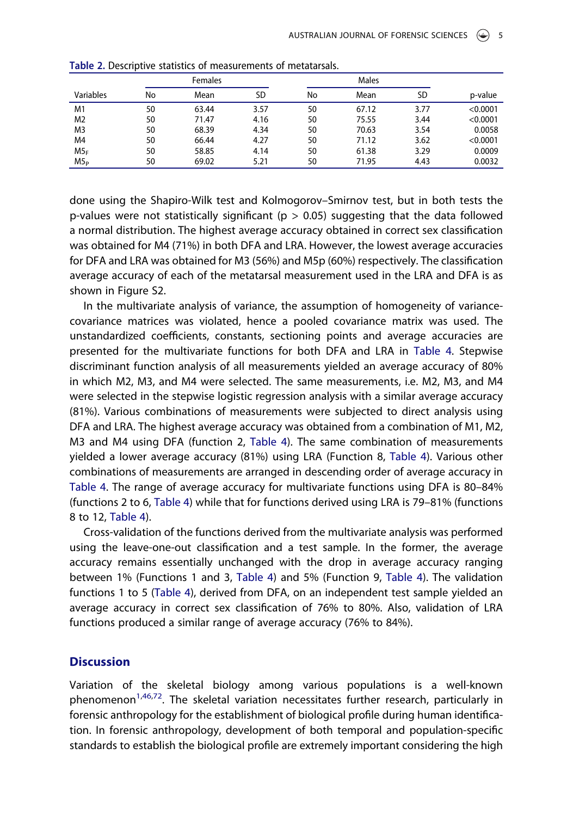|                 | Females |       |      |    |       |      |          |
|-----------------|---------|-------|------|----|-------|------|----------|
| Variables       | No      | Mean  | SD   | No | Mean  | SD   | p-value  |
| M1              | 50      | 63.44 | 3.57 | 50 | 67.12 | 3.77 | < 0.0001 |
| M2              | 50      | 71.47 | 4.16 | 50 | 75.55 | 3.44 | < 0.0001 |
| M3              | 50      | 68.39 | 4.34 | 50 | 70.63 | 3.54 | 0.0058   |
| M4              | 50      | 66.44 | 4.27 | 50 | 71.12 | 3.62 | < 0.0001 |
| M5 <sub>F</sub> | 50      | 58.85 | 4.14 | 50 | 61.38 | 3.29 | 0.0009   |
| M5 <sub>P</sub> | 50      | 69.02 | 5.21 | 50 | 71.95 | 4.43 | 0.0032   |

Table 2. Descriptive statistics of measurements of metatarsals.

done using the Shapiro-Wilk test and Kolmogorov–Smirnov test, but in both tests the p-values were not statistically significant ( $p > 0.05$ ) suggesting that the data followed a normal distribution. The highest average accuracy obtained in correct sex classification was obtained for M4 (71%) in both DFA and LRA. However, the lowest average accuracies for DFA and LRA was obtained for M3 (56%) and M5p (60%) respectively. The classification average accuracy of each of the metatarsal measurement used in the LRA and DFA is as shown in Figure S2.

In the multivariate analysis of variance, the assumption of homogeneity of variancecovariance matrices was violated, hence a pooled covariance matrix was used. The unstandardized coefficients, constants, sectioning points and average accuracies are presented for the multivariate functions for both DFA and LRA in Table 4. Stepwise discriminant function analysis of all measurements yielded an average accuracy of 80% in which M2, M3, and M4 were selected. The same measurements, i.e. M2, M3, and M4 were selected in the stepwise logistic regression analysis with a similar average accuracy (81%). Various combinations of measurements were subjected to direct analysis using DFA and LRA. The highest average accuracy was obtained from a combination of M1, M2, M3 and M4 using DFA (function 2, Table 4). The same combination of measurements yielded a lower average accuracy (81%) using LRA (Function 8, Table 4). Various other combinations of measurements are arranged in descending order of average accuracy in Table 4. The range of average accuracy for multivariate functions using DFA is 80–84% (functions 2 to 6, Table 4) while that for functions derived using LRA is 79–81% (functions 8 to 12, Table 4).

Cross-validation of the functions derived from the multivariate analysis was performed using the leave-one-out classification and a test sample. In the former, the average accuracy remains essentially unchanged with the drop in average accuracy ranging between 1% (Functions 1 and 3, Table 4) and 5% (Function 9, Table 4). The validation functions 1 to 5 (Table 4), derived from DFA, on an independent test sample yielded an average accuracy in correct sex classification of 76% to 80%. Also, validation of LRA functions produced a similar range of average accuracy (76% to 84%).

# **Discussion**

Variation of the skeletal biology among various populations is a well-known phenomenon<sup>1,46,72</sup>. The skeletal variation necessitates further research, particularly in forensic anthropology for the establishment of biological profile during human identification. In forensic anthropology, development of both temporal and population-specific standards to establish the biological profile are extremely important considering the high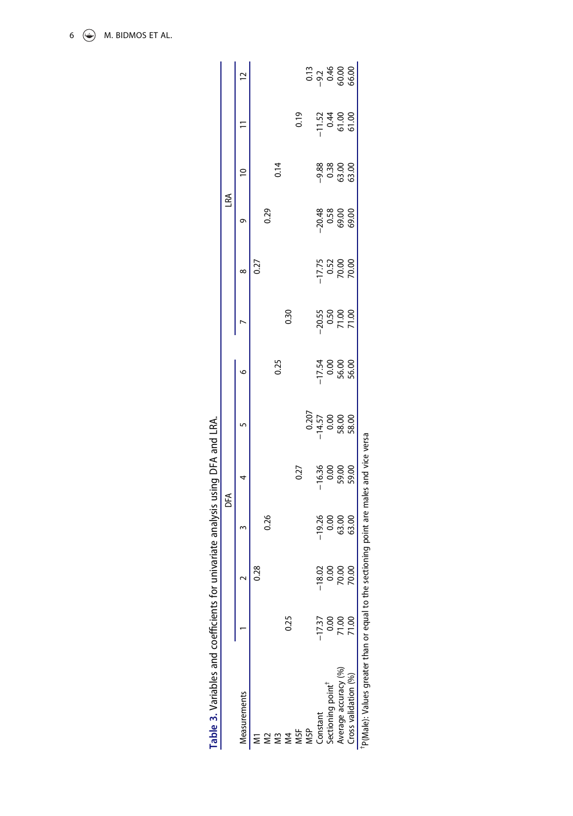|                               |          |               |                                      | ЪŔ                                      |                                       |         |                             |                                     | LRA  |                                  |                                                                       |                                                             |
|-------------------------------|----------|---------------|--------------------------------------|-----------------------------------------|---------------------------------------|---------|-----------------------------|-------------------------------------|------|----------------------------------|-----------------------------------------------------------------------|-------------------------------------------------------------|
| Measurements                  |          |               |                                      | 4                                       |                                       | $\circ$ |                             | ∞                                   | Ō    | $\approx$                        |                                                                       | $\overline{a}$                                              |
|                               |          | 0.28          |                                      |                                         |                                       |         |                             | 0.27                                |      |                                  |                                                                       |                                                             |
|                               |          |               | 0.26                                 |                                         |                                       |         |                             |                                     | 0.29 |                                  |                                                                       |                                                             |
| Μ3                            |          |               |                                      |                                         |                                       | 0.25    |                             |                                     |      | 0.14                             |                                                                       |                                                             |
| $\overline{4}$                | 0.25     |               |                                      |                                         |                                       |         | 0.30                        |                                     |      |                                  |                                                                       |                                                             |
| M5F<br>M5P                    |          |               |                                      | (20)                                    |                                       |         |                             |                                     |      |                                  | 0.19                                                                  |                                                             |
|                               |          |               |                                      |                                         |                                       |         |                             |                                     |      |                                  |                                                                       |                                                             |
| Constant                      | $-17.37$ |               |                                      |                                         | 0.207<br>0.57<br>0.68<br>0.88<br>0.88 |         |                             |                                     |      |                                  |                                                                       | $\frac{13}{9}$ $\frac{46}{9}$ $\frac{60}{9}$ $\frac{80}{9}$ |
| Sectioning point <sup>1</sup> | <u>ទ</u> | $\frac{5}{2}$ |                                      |                                         |                                       |         |                             |                                     |      |                                  |                                                                       |                                                             |
| Average accuracy (%)          | 71.00    | 70.00         | 0<br>0 0 0 0<br>0 0 0 0<br>0 0 0 0 0 | $-6.36$<br>$-6.36$<br>$-6.36$<br>$-7.6$ |                                       |         | 30.55<br>0.50<br>7 7 7 0.00 | - 17.75<br>0.52<br>- 0.60<br>- 0.00 |      | 88 89 89<br>9 8 9 80<br>9 8 9 80 | $\frac{1}{1}$ $\frac{3}{4}$ $\frac{6}{9}$ $\frac{6}{9}$ $\frac{6}{9}$ |                                                             |
| Cross validation (%)          |          | S             |                                      |                                         |                                       |         |                             |                                     |      |                                  |                                                                       |                                                             |

| $\frac{2}{3}$   |
|-----------------|
|                 |
|                 |
|                 |
|                 |
|                 |
| i               |
|                 |
| ١               |
|                 |
|                 |
|                 |
|                 |
| くらこ こここ         |
|                 |
|                 |
|                 |
|                 |
| č               |
|                 |
|                 |
|                 |
|                 |
|                 |
|                 |
|                 |
|                 |
|                 |
|                 |
|                 |
|                 |
|                 |
|                 |
|                 |
|                 |
|                 |
|                 |
|                 |
|                 |
|                 |
|                 |
|                 |
|                 |
|                 |
|                 |
| J<br>1          |
|                 |
|                 |
|                 |
|                 |
| <b>ANGLETER</b> |
|                 |
|                 |
| l               |
|                 |
|                 |
|                 |
|                 |
|                 |
|                 |
|                 |
|                 |
|                 |
| -<br>^<br>1     |
|                 |
|                 |
|                 |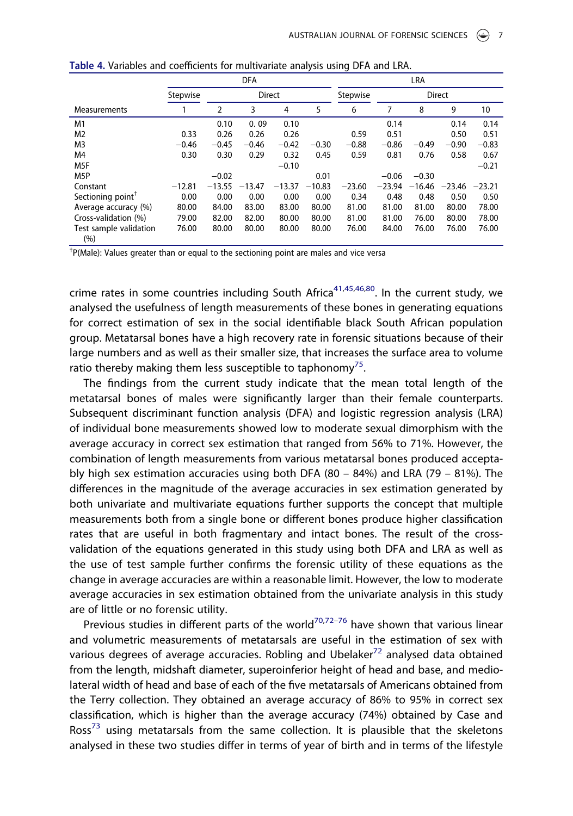|                               | <b>DFA</b> |          |          |          | LRA      |          |          |          |               |          |
|-------------------------------|------------|----------|----------|----------|----------|----------|----------|----------|---------------|----------|
|                               | Stepwise   |          | Direct   |          |          | Stepwise |          |          | <b>Direct</b> |          |
| Measurements                  |            | 2        | 3        | 4        | 5        | 6        |          | 8        | 9             | 10       |
| M1                            |            | 0.10     | 0.09     | 0.10     |          |          | 0.14     |          | 0.14          | 0.14     |
| M <sub>2</sub>                | 0.33       | 0.26     | 0.26     | 0.26     |          | 0.59     | 0.51     |          | 0.50          | 0.51     |
| M <sub>3</sub>                | $-0.46$    | $-0.45$  | $-0.46$  | $-0.42$  | $-0.30$  | $-0.88$  | $-0.86$  | $-0.49$  | $-0.90$       | $-0.83$  |
| M4                            | 0.30       | 0.30     | 0.29     | 0.32     | 0.45     | 0.59     | 0.81     | 0.76     | 0.58          | 0.67     |
| M <sub>5F</sub>               |            |          |          | $-0.10$  |          |          |          |          |               | $-0.21$  |
| M <sub>5</sub> P              |            | $-0.02$  |          |          | 0.01     |          | $-0.06$  | $-0.30$  |               |          |
| Constant                      | $-12.81$   | $-13.55$ | $-13.47$ | $-13.37$ | $-10.83$ | $-23.60$ | $-23.94$ | $-16.46$ | $-23.46$      | $-23.21$ |
| Sectioning point <sup>T</sup> | 0.00       | 0.00     | 0.00     | 0.00     | 0.00     | 0.34     | 0.48     | 0.48     | 0.50          | 0.50     |
| Average accuracy (%)          | 80.00      | 84.00    | 83.00    | 83.00    | 80.00    | 81.00    | 81.00    | 81.00    | 80.00         | 78.00    |
| Cross-validation (%)          | 79.00      | 82.00    | 82.00    | 80.00    | 80.00    | 81.00    | 81.00    | 76.00    | 80.00         | 78.00    |
| Test sample validation<br>(%) | 76.00      | 80.00    | 80.00    | 80.00    | 80.00    | 76.00    | 84.00    | 76.00    | 76.00         | 76.00    |

Table 4. Variables and coefficients for multivariate analysis using DFA and LRA.

<sup>†</sup> P(Male): Values greater than or equal to the sectioning point are males and vice versa

crime rates in some countries including South Africa<sup>41,45,46,80</sup>. In the current study, we analysed the usefulness of length measurements of these bones in generating equations for correct estimation of sex in the social identifiable black South African population group. Metatarsal bones have a high recovery rate in forensic situations because of their large numbers and as well as their smaller size, that increases the surface area to volume ratio thereby making them less susceptible to taphonomy<sup>75</sup>.

The findings from the current study indicate that the mean total length of the metatarsal bones of males were significantly larger than their female counterparts. Subsequent discriminant function analysis (DFA) and logistic regression analysis (LRA) of individual bone measurements showed low to moderate sexual dimorphism with the average accuracy in correct sex estimation that ranged from 56% to 71%. However, the combination of length measurements from various metatarsal bones produced acceptably high sex estimation accuracies using both DFA (80 – 84%) and LRA (79 – 81%). The differences in the magnitude of the average accuracies in sex estimation generated by both univariate and multivariate equations further supports the concept that multiple measurements both from a single bone or different bones produce higher classification rates that are useful in both fragmentary and intact bones. The result of the crossvalidation of the equations generated in this study using both DFA and LRA as well as the use of test sample further confirms the forensic utility of these equations as the change in average accuracies are within a reasonable limit. However, the low to moderate average accuracies in sex estimation obtained from the univariate analysis in this study are of little or no forensic utility.

Previous studies in different parts of the world<sup>70,72–76</sup> have shown that various linear and volumetric measurements of metatarsals are useful in the estimation of sex with various degrees of average accuracies. Robling and Ubelaker<sup>72</sup> analysed data obtained from the length, midshaft diameter, superoinferior height of head and base, and mediolateral width of head and base of each of the five metatarsals of Americans obtained from the Terry collection. They obtained an average accuracy of 86% to 95% in correct sex classification, which is higher than the average accuracy (74%) obtained by Case and Ross<sup>73</sup> using metatarsals from the same collection. It is plausible that the skeletons analysed in these two studies differ in terms of year of birth and in terms of the lifestyle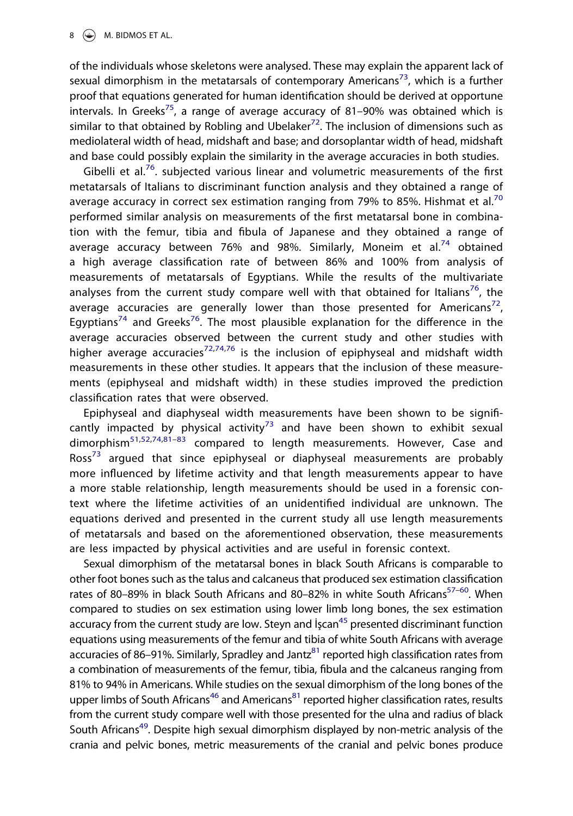of the individuals whose skeletons were analysed. These may explain the apparent lack of sexual dimorphism in the metatarsals of contemporary Americans<sup>73</sup>, which is a further proof that equations generated for human identification should be derived at opportune intervals. In Greeks<sup>75</sup>, a range of average accuracy of 81-90% was obtained which is similar to that obtained by Robling and Ubelaker<sup>72</sup>. The inclusion of dimensions such as mediolateral width of head, midshaft and base; and dorsoplantar width of head, midshaft and base could possibly explain the similarity in the average accuracies in both studies.

Gibelli et al.<sup>76</sup>. subjected various linear and volumetric measurements of the first metatarsals of Italians to discriminant function analysis and they obtained a range of average accuracy in correct sex estimation ranging from 79% to 85%. Hishmat et al.<sup>70</sup> performed similar analysis on measurements of the first metatarsal bone in combination with the femur, tibia and fibula of Japanese and they obtained a range of average accuracy between 76% and 98%. Similarly, Moneim et al.<sup>74</sup> obtained a high average classification rate of between 86% and 100% from analysis of measurements of metatarsals of Egyptians. While the results of the multivariate analyses from the current study compare well with that obtained for Italians<sup>76</sup>, the average accuracies are generally lower than those presented for Americans<sup>72</sup>, Egyptians<sup>74</sup> and Greeks<sup>76</sup>. The most plausible explanation for the difference in the average accuracies observed between the current study and other studies with higher average accuracies<sup>72,74,76</sup> is the inclusion of epiphyseal and midshaft width measurements in these other studies. It appears that the inclusion of these measurements (epiphyseal and midshaft width) in these studies improved the prediction classification rates that were observed.

Epiphyseal and diaphyseal width measurements have been shown to be significantly impacted by physical activity<sup>73</sup> and have been shown to exhibit sexual dimorphism<sup>51,52,74,81–83</sup> compared to length measurements. However, Case and Ross<sup>73</sup> argued that since epiphyseal or diaphyseal measurements are probably more influenced by lifetime activity and that length measurements appear to have a more stable relationship, length measurements should be used in a forensic context where the lifetime activities of an unidentified individual are unknown. The equations derived and presented in the current study all use length measurements of metatarsals and based on the aforementioned observation, these measurements are less impacted by physical activities and are useful in forensic context.

Sexual dimorphism of the metatarsal bones in black South Africans is comparable to other foot bones such as the talus and calcaneus that produced sex estimation classification rates of 80–89% in black South Africans and 80–82% in white South Africans<sup>57–60</sup>. When compared to studies on sex estimation using lower limb long bones, the sex estimation accuracy from the current study are low. Steyn and  $\frac{1}{2}$  stess presented discriminant function equations using measurements of the femur and tibia of white South Africans with average accuracies of 86–91%. Similarly, Spradley and Jantz<sup>81</sup> reported high classification rates from a combination of measurements of the femur, tibia, fibula and the calcaneus ranging from 81% to 94% in Americans. While studies on the sexual dimorphism of the long bones of the upper limbs of South Africans<sup>46</sup> and Americans<sup>81</sup> reported higher classification rates, results from the current study compare well with those presented for the ulna and radius of black South Africans<sup>49</sup>. Despite high sexual dimorphism displayed by non-metric analysis of the crania and pelvic bones, metric measurements of the cranial and pelvic bones produce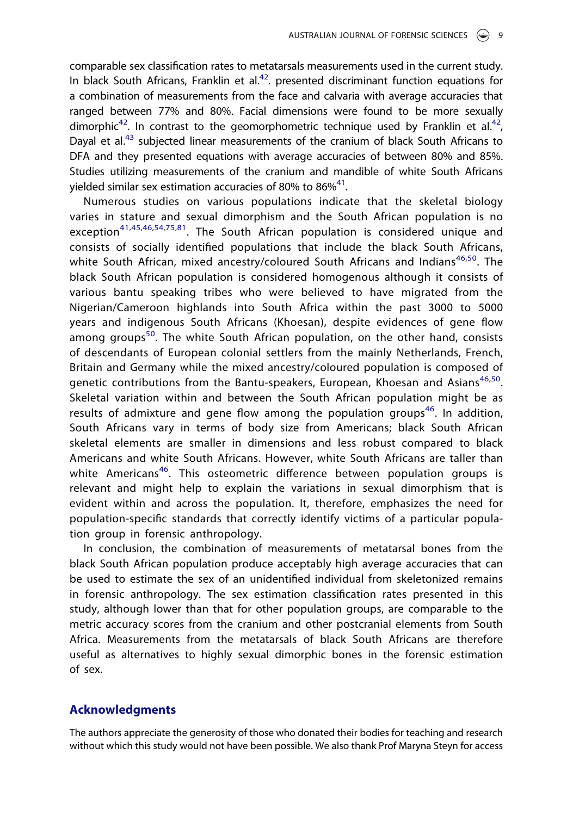comparable sex classification rates to metatarsals measurements used in the current study. In black South Africans, Franklin et al. $42$ . presented discriminant function equations for a combination of measurements from the face and calvaria with average accuracies that ranged between 77% and 80%. Facial dimensions were found to be more sexually dimorphic<sup>42</sup>. In contrast to the geomorphometric technique used by Franklin et al.<sup>42</sup>, Dayal et al.<sup>43</sup> subjected linear measurements of the cranium of black South Africans to DFA and they presented equations with average accuracies of between 80% and 85%. Studies utilizing measurements of the cranium and mandible of white South Africans yielded similar sex estimation accuracies of 80% to 86%<sup>41</sup>.

Numerous studies on various populations indicate that the skeletal biology varies in stature and sexual dimorphism and the South African population is no exception<sup>41,45,46,54,75,81</sup>. The South African population is considered unique and consists of socially identified populations that include the black South Africans, white South African, mixed ancestry/coloured South Africans and Indians<sup>46,50</sup>. The black South African population is considered homogenous although it consists of various bantu speaking tribes who were believed to have migrated from the Nigerian/Cameroon highlands into South Africa within the past 3000 to 5000 years and indigenous South Africans (Khoesan), despite evidences of gene flow among groups<sup>50</sup>. The white South African population, on the other hand, consists of descendants of European colonial settlers from the mainly Netherlands, French, Britain and Germany while the mixed ancestry/coloured population is composed of genetic contributions from the Bantu-speakers, European, Khoesan and Asians<sup>46,50</sup>. Skeletal variation within and between the South African population might be as results of admixture and gene flow among the population groups<sup>46</sup>. In addition, South Africans vary in terms of body size from Americans; black South African skeletal elements are smaller in dimensions and less robust compared to black Americans and white South Africans. However, white South Africans are taller than white Americans<sup>46</sup>. This osteometric difference between population groups is relevant and might help to explain the variations in sexual dimorphism that is evident within and across the population. It, therefore, emphasizes the need for population-specific standards that correctly identify victims of a particular population group in forensic anthropology.

In conclusion, the combination of measurements of metatarsal bones from the black South African population produce acceptably high average accuracies that can be used to estimate the sex of an unidentified individual from skeletonized remains in forensic anthropology. The sex estimation classification rates presented in this study, although lower than that for other population groups, are comparable to the metric accuracy scores from the cranium and other postcranial elements from South Africa. Measurements from the metatarsals of black South Africans are therefore useful as alternatives to highly sexual dimorphic bones in the forensic estimation of sex.

# Acknowledgments

The authors appreciate the generosity of those who donated their bodies for teaching and research without which this study would not have been possible. We also thank Prof Maryna Steyn for access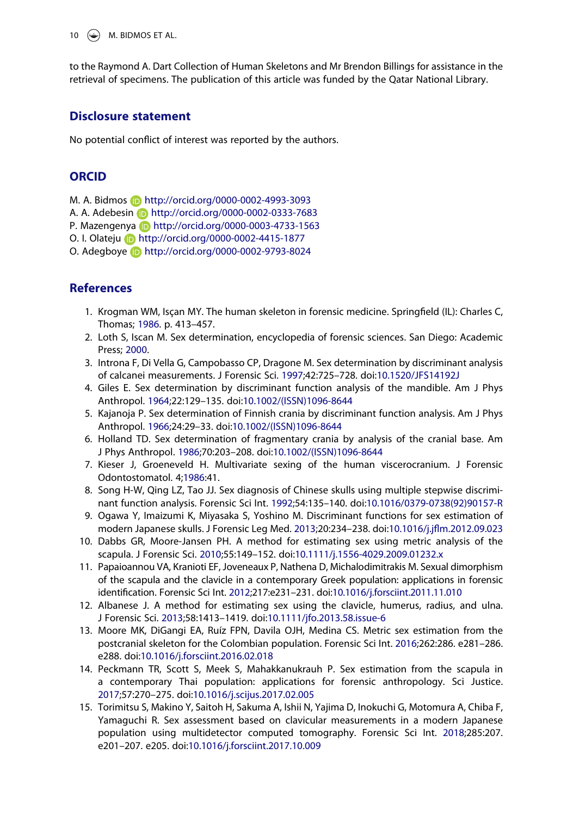10  $\left(\begin{matrix} \bigoplus \end{matrix}\right)$  M. BIDMOS ET AL.

to the Raymond A. Dart Collection of Human Skeletons and Mr Brendon Billings for assistance in the retrieval of specimens. The publication of this article was funded by the Qatar National Library.

# Disclosure statement

No potential conflict of interest was reported by the authors.

# **ORCID**

M. A. Bidmos **b** http://orcid.org/0000-0002-4993-3093

A. A. Adebesin **b** http://orcid.org/0000-0002-0333-7683

P. Mazengenya http://orcid.org/0000-0003-4733-1563

O. I. Olateju http://orcid.org/0000-0002-4415-1877

O. Adegboye http://orcid.org/0000-0002-9793-8024

# **References**

- 1. Krogman WM, Isçan MY. The human skeleton in forensic medicine. Springfield (IL): Charles C, Thomas; 1986. p. 413–457.
- 2. Loth S, Iscan M. Sex determination, encyclopedia of forensic sciences. San Diego: Academic Press; 2000.
- 3. Introna F, Di Vella G, Campobasso CP, Dragone M. Sex determination by discriminant analysis of calcanei measurements. J Forensic Sci. 1997;42:725–728. doi:10.1520/JFS14192J
- 4. Giles E. Sex determination by discriminant function analysis of the mandible. Am J Phys Anthropol. 1964;22:129–135. doi:10.1002/(ISSN)1096-8644
- 5. Kajanoja P. Sex determination of Finnish crania by discriminant function analysis. Am J Phys Anthropol. 1966;24:29–33. doi:10.1002/(ISSN)1096-8644
- 6. Holland TD. Sex determination of fragmentary crania by analysis of the cranial base. Am J Phys Anthropol. 1986;70:203–208. doi:10.1002/(ISSN)1096-8644
- 7. Kieser J, Groeneveld H. Multivariate sexing of the human viscerocranium. J Forensic Odontostomatol. 4;1986:41.
- 8. Song H-W, Qing LZ, Tao JJ. Sex diagnosis of Chinese skulls using multiple stepwise discriminant function analysis. Forensic Sci Int. 1992;54:135–140. doi:10.1016/0379-0738(92)90157-R
- 9. Ogawa Y, Imaizumi K, Miyasaka S, Yoshino M. Discriminant functions for sex estimation of modern Japanese skulls. J Forensic Leg Med. 2013;20:234–238. doi:10.1016/j.jflm.2012.09.023
- 10. Dabbs GR, Moore-Jansen PH. A method for estimating sex using metric analysis of the scapula. J Forensic Sci. 2010;55:149–152. doi:10.1111/j.1556-4029.2009.01232.x
- 11. Papaioannou VA, Kranioti EF, Joveneaux P, Nathena D, Michalodimitrakis M. Sexual dimorphism of the scapula and the clavicle in a contemporary Greek population: applications in forensic identification. Forensic Sci Int. 2012;217:e231–231. doi:10.1016/j.forsciint.2011.11.010
- 12. Albanese J. A method for estimating sex using the clavicle, humerus, radius, and ulna. J Forensic Sci. 2013;58:1413–1419. doi:10.1111/jfo.2013.58.issue-6
- 13. Moore MK, DiGangi EA, Ruíz FPN, Davila OJH, Medina CS. Metric sex estimation from the postcranial skeleton for the Colombian population. Forensic Sci Int. 2016;262:286. e281–286. e288. doi:10.1016/j.forsciint.2016.02.018
- 14. Peckmann TR, Scott S, Meek S, Mahakkanukrauh P. Sex estimation from the scapula in a contemporary Thai population: applications for forensic anthropology. Sci Justice. 2017;57:270–275. doi:10.1016/j.scijus.2017.02.005
- 15. Torimitsu S, Makino Y, Saitoh H, Sakuma A, Ishii N, Yajima D, Inokuchi G, Motomura A, Chiba F, Yamaguchi R. Sex assessment based on clavicular measurements in a modern Japanese population using multidetector computed tomography. Forensic Sci Int. 2018;285:207. e201–207. e205. doi:10.1016/j.forsciint.2017.10.009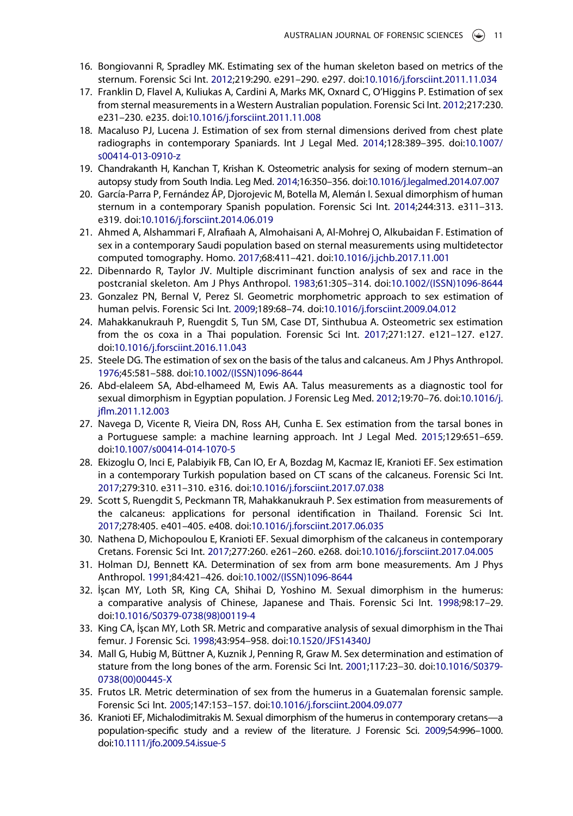- 16. Bongiovanni R, Spradley MK. Estimating sex of the human skeleton based on metrics of the sternum. Forensic Sci Int. 2012;219:290. e291–290. e297. doi:10.1016/j.forsciint.2011.11.034
- 17. Franklin D, Flavel A, Kuliukas A, Cardini A, Marks MK, Oxnard C, O'Higgins P. Estimation of sex from sternal measurements in a Western Australian population. Forensic Sci Int. 2012;217:230. e231–230. e235. doi:10.1016/j.forsciint.2011.11.008
- 18. Macaluso PJ, Lucena J. Estimation of sex from sternal dimensions derived from chest plate radiographs in contemporary Spaniards. Int J Legal Med. 2014;128:389–395. doi:10.1007/ s00414-013-0910-z
- 19. Chandrakanth H, Kanchan T, Krishan K. Osteometric analysis for sexing of modern sternum–an autopsy study from South India. Leg Med. 2014;16:350–356. doi:10.1016/j.legalmed.2014.07.007
- 20. García-Parra P, Fernández ÁP, Djorojevic M, Botella M, Alemán I. Sexual dimorphism of human sternum in a contemporary Spanish population. Forensic Sci Int. 2014;244:313. e311–313. e319. doi:10.1016/j.forsciint.2014.06.019
- 21. Ahmed A, Alshammari F, Alrafiaah A, Almohaisani A, Al-Mohrej O, Alkubaidan F. Estimation of sex in a contemporary Saudi population based on sternal measurements using multidetector computed tomography. Homo. 2017;68:411–421. doi:10.1016/j.jchb.2017.11.001
- 22. Dibennardo R, Taylor JV. Multiple discriminant function analysis of sex and race in the postcranial skeleton. Am J Phys Anthropol. 1983;61:305–314. doi:10.1002/(ISSN)1096-8644
- 23. Gonzalez PN, Bernal V, Perez SI. Geometric morphometric approach to sex estimation of human pelvis. Forensic Sci Int. 2009;189:68–74. doi:10.1016/j.forsciint.2009.04.012
- 24. Mahakkanukrauh P, Ruengdit S, Tun SM, Case DT, Sinthubua A. Osteometric sex estimation from the os coxa in a Thai population. Forensic Sci Int. 2017;271:127. e121–127. e127. doi:10.1016/j.forsciint.2016.11.043
- 25. Steele DG. The estimation of sex on the basis of the talus and calcaneus. Am J Phys Anthropol. 1976;45:581–588. doi:10.1002/(ISSN)1096-8644
- 26. Abd-elaleem SA, Abd-elhameed M, Ewis AA. Talus measurements as a diagnostic tool for sexual dimorphism in Egyptian population. J Forensic Leg Med. 2012;19:70–76. doi:10.1016/j. jflm.2011.12.003
- 27. Navega D, Vicente R, Vieira DN, Ross AH, Cunha E. Sex estimation from the tarsal bones in a Portuguese sample: a machine learning approach. Int J Legal Med. 2015;129:651–659. doi:10.1007/s00414-014-1070-5
- 28. Ekizoglu O, Inci E, Palabiyik FB, Can IO, Er A, Bozdag M, Kacmaz IE, Kranioti EF. Sex estimation in a contemporary Turkish population based on CT scans of the calcaneus. Forensic Sci Int. 2017;279:310. e311–310. e316. doi:10.1016/j.forsciint.2017.07.038
- 29. Scott S, Ruengdit S, Peckmann TR, Mahakkanukrauh P. Sex estimation from measurements of the calcaneus: applications for personal identification in Thailand. Forensic Sci Int. 2017;278:405. e401–405. e408. doi:10.1016/j.forsciint.2017.06.035
- 30. Nathena D, Michopoulou E, Kranioti EF. Sexual dimorphism of the calcaneus in contemporary Cretans. Forensic Sci Int. 2017;277:260. e261–260. e268. doi:10.1016/j.forsciint.2017.04.005
- 31. Holman DJ, Bennett KA. Determination of sex from arm bone measurements. Am J Phys Anthropol. 1991;84:421–426. doi:10.1002/(ISSN)1096-8644
- 32. İşcan MY, Loth SR, King CA, Shihai D, Yoshino M. Sexual dimorphism in the humerus: a comparative analysis of Chinese, Japanese and Thais. Forensic Sci Int. 1998;98:17–29. doi:10.1016/S0379-0738(98)00119-4
- 33. King CA, İşcan MY, Loth SR. Metric and comparative analysis of sexual dimorphism in the Thai femur. J Forensic Sci. 1998;43:954–958. doi:10.1520/JFS14340J
- 34. Mall G, Hubig M, Büttner A, Kuznik J, Penning R, Graw M. Sex determination and estimation of stature from the long bones of the arm. Forensic Sci Int. 2001;117:23–30. doi:10.1016/S0379- 0738(00)00445-X
- 35. Frutos LR. Metric determination of sex from the humerus in a Guatemalan forensic sample. Forensic Sci Int. 2005;147:153–157. doi:10.1016/j.forsciint.2004.09.077
- 36. Kranioti EF, Michalodimitrakis M. Sexual dimorphism of the humerus in contemporary cretans—a population-specific study and a review of the literature. J Forensic Sci. 2009;54:996–1000. doi:10.1111/jfo.2009.54.issue-5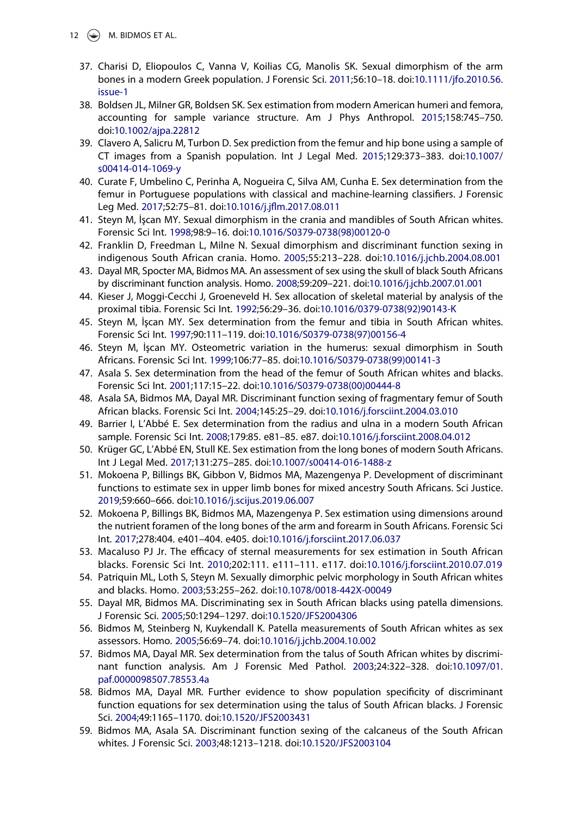- 12  $\circledast$  M. BIDMOS ET AL.
	- 37. Charisi D, Eliopoulos C, Vanna V, Koilias CG, Manolis SK. Sexual dimorphism of the arm bones in a modern Greek population. J Forensic Sci. 2011;56:10–18. doi:10.1111/jfo.2010.56. issue-1
	- 38. Boldsen JL, Milner GR, Boldsen SK. Sex estimation from modern American humeri and femora, accounting for sample variance structure. Am J Phys Anthropol. 2015;158:745–750. doi:10.1002/ajpa.22812
	- 39. Clavero A, Salicru M, Turbon D. Sex prediction from the femur and hip bone using a sample of CT images from a Spanish population. Int J Legal Med. 2015;129:373–383. doi:10.1007/ s00414-014-1069-y
	- 40. Curate F, Umbelino C, Perinha A, Nogueira C, Silva AM, Cunha E. Sex determination from the femur in Portuguese populations with classical and machine-learning classifiers. J Forensic Leg Med. 2017;52:75–81. doi:10.1016/j.jflm.2017.08.011
	- 41. Steyn M, İşcan MY. Sexual dimorphism in the crania and mandibles of South African whites. Forensic Sci Int. 1998;98:9–16. doi:10.1016/S0379-0738(98)00120-0
	- 42. Franklin D, Freedman L, Milne N. Sexual dimorphism and discriminant function sexing in indigenous South African crania. Homo. 2005;55:213–228. doi:10.1016/j.jchb.2004.08.001
	- 43. Dayal MR, Spocter MA, Bidmos MA. An assessment of sex using the skull of black South Africans by discriminant function analysis. Homo. 2008;59:209–221. doi:10.1016/j.jchb.2007.01.001
	- 44. Kieser J, Moggi-Cecchi J, Groeneveld H. Sex allocation of skeletal material by analysis of the proximal tibia. Forensic Sci Int. 1992;56:29–36. doi:10.1016/0379-0738(92)90143-K
	- 45. Steyn M, İşcan MY. Sex determination from the femur and tibia in South African whites. Forensic Sci Int. 1997;90:111–119. doi:10.1016/S0379-0738(97)00156-4
	- 46. Steyn M, İşcan MY. Osteometric variation in the humerus: sexual dimorphism in South Africans. Forensic Sci Int. 1999;106:77–85. doi:10.1016/S0379-0738(99)00141-3
	- 47. Asala S. Sex determination from the head of the femur of South African whites and blacks. Forensic Sci Int. 2001;117:15–22. doi:10.1016/S0379-0738(00)00444-8
	- 48. Asala SA, Bidmos MA, Dayal MR. Discriminant function sexing of fragmentary femur of South African blacks. Forensic Sci Int. 2004;145:25–29. doi:10.1016/j.forsciint.2004.03.010
	- 49. Barrier I, L'Abbé E. Sex determination from the radius and ulna in a modern South African sample. Forensic Sci Int. 2008;179:85. e81–85. e87. doi:10.1016/j.forsciint.2008.04.012
	- 50. Krüger GC, L'Abbé EN, Stull KE. Sex estimation from the long bones of modern South Africans. Int J Legal Med. 2017;131:275–285. doi:10.1007/s00414-016-1488-z
	- 51. Mokoena P, Billings BK, Gibbon V, Bidmos MA, Mazengenya P. Development of discriminant functions to estimate sex in upper limb bones for mixed ancestry South Africans. Sci Justice. 2019;59:660–666. doi:10.1016/j.scijus.2019.06.007
	- 52. Mokoena P, Billings BK, Bidmos MA, Mazengenya P. Sex estimation using dimensions around the nutrient foramen of the long bones of the arm and forearm in South Africans. Forensic Sci Int. 2017;278:404. e401–404. e405. doi:10.1016/j.forsciint.2017.06.037
	- 53. Macaluso PJ Jr. The efficacy of sternal measurements for sex estimation in South African blacks. Forensic Sci Int. 2010;202:111. e111–111. e117. doi:10.1016/j.forsciint.2010.07.019
	- 54. Patriquin ML, Loth S, Steyn M. Sexually dimorphic pelvic morphology in South African whites and blacks. Homo. 2003;53:255–262. doi:10.1078/0018-442X-00049
	- 55. Dayal MR, Bidmos MA. Discriminating sex in South African blacks using patella dimensions. J Forensic Sci. 2005;50:1294–1297. doi:10.1520/JFS2004306
	- 56. Bidmos M, Steinberg N, Kuykendall K. Patella measurements of South African whites as sex assessors. Homo. 2005;56:69–74. doi:10.1016/j.jchb.2004.10.002
	- 57. Bidmos MA, Dayal MR. Sex determination from the talus of South African whites by discriminant function analysis. Am J Forensic Med Pathol. 2003;24:322–328. doi:10.1097/01. paf.0000098507.78553.4a
	- 58. Bidmos MA, Dayal MR. Further evidence to show population specificity of discriminant function equations for sex determination using the talus of South African blacks. J Forensic Sci. 2004;49:1165–1170. doi:10.1520/JFS2003431
	- 59. Bidmos MA, Asala SA. Discriminant function sexing of the calcaneus of the South African whites. J Forensic Sci. 2003;48:1213–1218. doi:10.1520/JFS2003104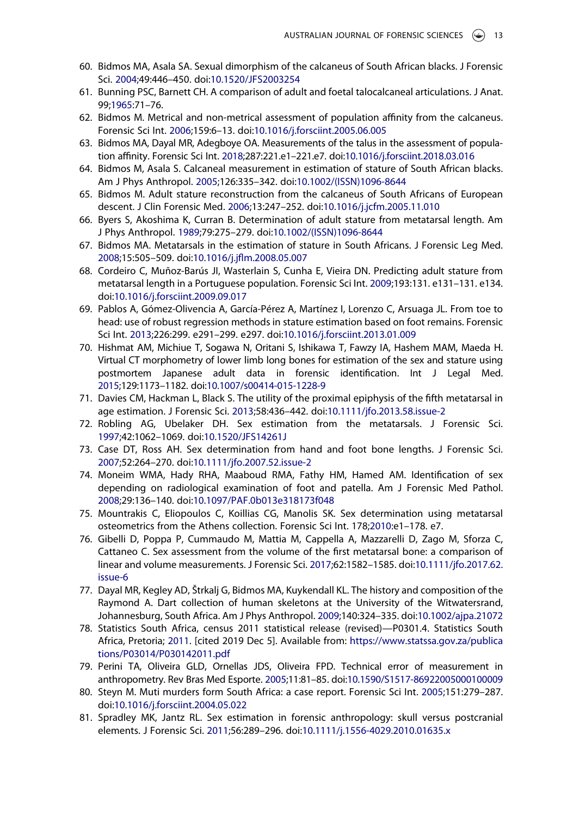- 60. Bidmos MA, Asala SA. Sexual dimorphism of the calcaneus of South African blacks. J Forensic Sci. 2004;49:446–450. doi:10.1520/JFS2003254
- 61. Bunning PSC, Barnett CH. A comparison of adult and foetal talocalcaneal articulations. J Anat. 99;1965:71–76.
- 62. Bidmos M. Metrical and non-metrical assessment of population affinity from the calcaneus. Forensic Sci Int. 2006;159:6–13. doi:10.1016/j.forsciint.2005.06.005
- 63. Bidmos MA, Dayal MR, Adegboye OA. Measurements of the talus in the assessment of population affinity. Forensic Sci Int. 2018;287:221.e1–221.e7. doi:10.1016/j.forsciint.2018.03.016
- 64. Bidmos M, Asala S. Calcaneal measurement in estimation of stature of South African blacks. Am J Phys Anthropol. 2005;126:335–342. doi:10.1002/(ISSN)1096-8644
- 65. Bidmos M. Adult stature reconstruction from the calcaneus of South Africans of European descent. J Clin Forensic Med. 2006;13:247–252. doi:10.1016/j.jcfm.2005.11.010
- 66. Byers S, Akoshima K, Curran B. Determination of adult stature from metatarsal length. Am J Phys Anthropol. 1989;79:275–279. doi:10.1002/(ISSN)1096-8644
- 67. Bidmos MA. Metatarsals in the estimation of stature in South Africans. J Forensic Leg Med. 2008;15:505–509. doi:10.1016/j.jflm.2008.05.007
- 68. Cordeiro C, Muñoz-Barús JI, Wasterlain S, Cunha E, Vieira DN. Predicting adult stature from metatarsal length in a Portuguese population. Forensic Sci Int. 2009;193:131. e131–131. e134. doi:10.1016/j.forsciint.2009.09.017
- 69. Pablos A, Gómez-Olivencia A, García-Pérez A, Martínez I, Lorenzo C, Arsuaga JL. From toe to head: use of robust regression methods in stature estimation based on foot remains. Forensic Sci Int. 2013;226:299. e291–299. e297. doi:10.1016/j.forsciint.2013.01.009
- 70. Hishmat AM, Michiue T, Sogawa N, Oritani S, Ishikawa T, Fawzy IA, Hashem MAM, Maeda H. Virtual CT morphometry of lower limb long bones for estimation of the sex and stature using postmortem Japanese adult data in forensic identification. Int J Legal Med. 2015;129:1173–1182. doi:10.1007/s00414-015-1228-9
- 71. Davies CM, Hackman L, Black S. The utility of the proximal epiphysis of the fifth metatarsal in age estimation. J Forensic Sci. 2013;58:436–442. doi:10.1111/jfo.2013.58.issue-2
- 72. Robling AG, Ubelaker DH. Sex estimation from the metatarsals. J Forensic Sci. 1997;42:1062–1069. doi:10.1520/JFS14261J
- 73. Case DT, Ross AH. Sex determination from hand and foot bone lengths. J Forensic Sci. 2007;52:264–270. doi:10.1111/jfo.2007.52.issue-2
- 74. Moneim WMA, Hady RHA, Maaboud RMA, Fathy HM, Hamed AM. Identification of sex depending on radiological examination of foot and patella. Am J Forensic Med Pathol. 2008;29:136–140. doi:10.1097/PAF.0b013e318173f048
- 75. Mountrakis C, Eliopoulos C, Koillias CG, Manolis SK. Sex determination using metatarsal osteometrics from the Athens collection. Forensic Sci Int. 178;2010:e1–178. e7.
- 76. Gibelli D, Poppa P, Cummaudo M, Mattia M, Cappella A, Mazzarelli D, Zago M, Sforza C, Cattaneo C. Sex assessment from the volume of the first metatarsal bone: a comparison of linear and volume measurements. J Forensic Sci. 2017;62:1582–1585. doi:10.1111/jfo.2017.62. issue-6
- 77. Dayal MR, Kegley AD, Štrkalj G, Bidmos MA, Kuykendall KL. The history and composition of the Raymond A. Dart collection of human skeletons at the University of the Witwatersrand, Johannesburg, South Africa. Am J Phys Anthropol. 2009;140:324–335. doi:10.1002/ajpa.21072
- 78. Statistics South Africa, census 2011 statistical release (revised)—P0301.4. Statistics South Africa, Pretoria; 2011. [cited 2019 Dec 5]. Available from: https://www.statssa.gov.za/publica tions/P03014/P030142011.pdf
- 79. Perini TA, Oliveira GLD, Ornellas JDS, Oliveira FPD. Technical error of measurement in anthropometry. Rev Bras Med Esporte. 2005;11:81–85. doi:10.1590/S1517-86922005000100009
- 80. Steyn M. Muti murders form South Africa: a case report. Forensic Sci Int. 2005;151:279–287. doi:10.1016/j.forsciint.2004.05.022
- 81. Spradley MK, Jantz RL. Sex estimation in forensic anthropology: skull versus postcranial elements. J Forensic Sci. 2011;56:289–296. doi:10.1111/j.1556-4029.2010.01635.x